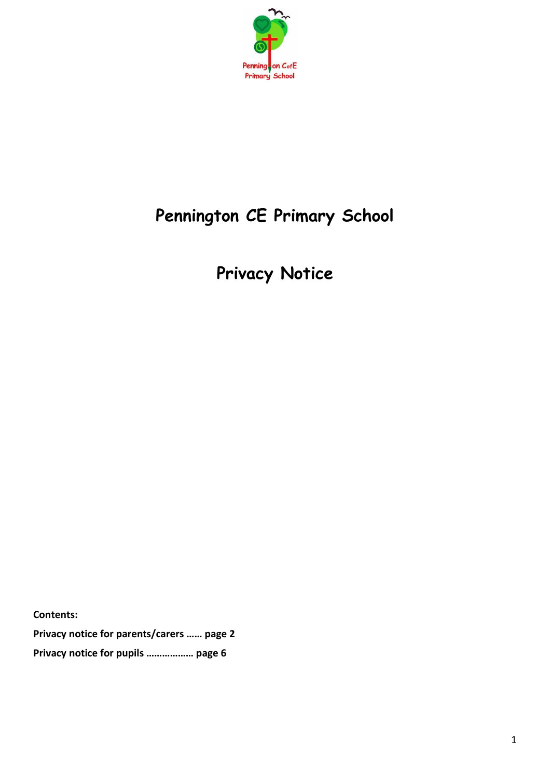

# **Pennington CE Primary School**

**Privacy Notice**

**Contents:**

**Privacy notice for parents/carers …… page 2 Privacy notice for pupils ……………… page 6**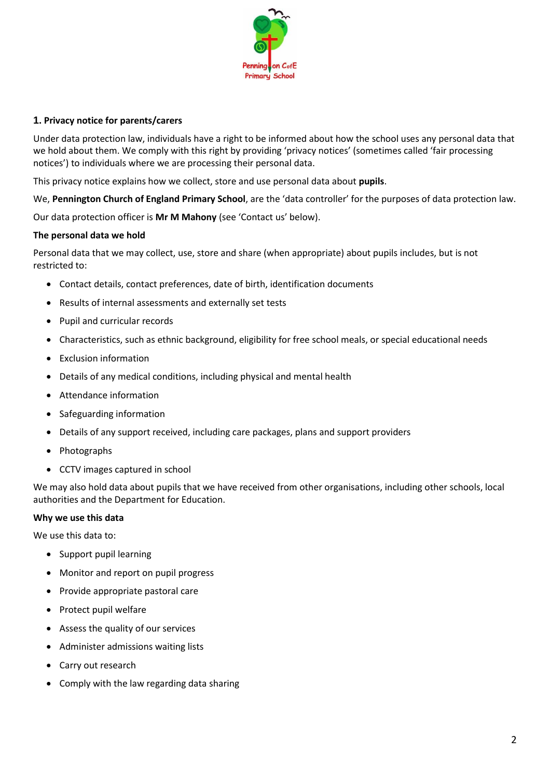

# **1. Privacy notice for parents/carers**

Under data protection law, individuals have a right to be informed about how the school uses any personal data that we hold about them. We comply with this right by providing 'privacy notices' (sometimes called 'fair processing notices') to individuals where we are processing their personal data.

This privacy notice explains how we collect, store and use personal data about **pupils**.

We, **Pennington Church of England Primary School**, are the 'data controller' for the purposes of data protection law.

Our data protection officer is **Mr M Mahony** (see 'Contact us' below).

## **The personal data we hold**

Personal data that we may collect, use, store and share (when appropriate) about pupils includes, but is not restricted to:

- Contact details, contact preferences, date of birth, identification documents
- Results of internal assessments and externally set tests
- Pupil and curricular records
- Characteristics, such as ethnic background, eligibility for free school meals, or special educational needs
- Exclusion information
- Details of any medical conditions, including physical and mental health
- Attendance information
- Safeguarding information
- Details of any support received, including care packages, plans and support providers
- Photographs
- CCTV images captured in school

We may also hold data about pupils that we have received from other organisations, including other schools, local authorities and the Department for Education.

## **Why we use this data**

We use this data to:

- Support pupil learning
- Monitor and report on pupil progress
- Provide appropriate pastoral care
- Protect pupil welfare
- Assess the quality of our services
- Administer admissions waiting lists
- Carry out research
- Comply with the law regarding data sharing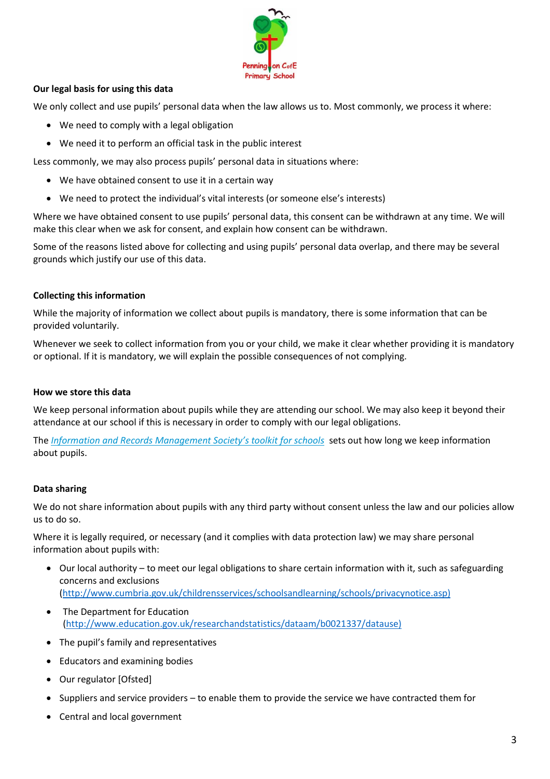

# **Our legal basis for using this data**

We only collect and use pupils' personal data when the law allows us to. Most commonly, we process it where:

- We need to comply with a legal obligation
- We need it to perform an official task in the public interest

Less commonly, we may also process pupils' personal data in situations where:

- We have obtained consent to use it in a certain way
- We need to protect the individual's vital interests (or someone else's interests)

Where we have obtained consent to use pupils' personal data, this consent can be withdrawn at any time. We will make this clear when we ask for consent, and explain how consent can be withdrawn.

Some of the reasons listed above for collecting and using pupils' personal data overlap, and there may be several grounds which justify our use of this data.

# **Collecting this information**

While the majority of information we collect about pupils is mandatory, there is some information that can be provided voluntarily.

Whenever we seek to collect information from you or your child, we make it clear whether providing it is mandatory or optional. If it is mandatory, we will explain the possible consequences of not complying.

## **How we store this data**

We keep personal information about pupils while they are attending our school. We may also keep it beyond their attendance at our school if this is necessary in order to comply with our legal obligations.

The *[Information and Records Management Society's toolkit for schools](http://irms.org.uk/?page=schoolstoolkit&terms=%22toolkit+and+schools%22)* sets out how long we keep information about pupils.

## **Data sharing**

We do not share information about pupils with any third party without consent unless the law and our policies allow us to do so.

Where it is legally required, or necessary (and it complies with data protection law) we may share personal information about pupils with:

- Our local authority to meet our legal obligations to share certain information with it, such as safeguarding concerns and exclusions [\(http://www.cumbria.gov.uk/childrensservices/schoolsandlearning/schools/privacynotice.asp\)](http://www.cumbria.gov.uk/childrensservices/schoolsandlearning/schools/privacynotice.asp))
- The Department for Education [\(http://www.education.gov.uk/researchandstatistics/dataam/b0021337/datause\)](http://www.education.gov.uk/researchandstatistics/dataam/b0021337/datause))
- The pupil's family and representatives
- Educators and examining bodies
- Our regulator [Ofsted]
- Suppliers and service providers to enable them to provide the service we have contracted them for
- Central and local government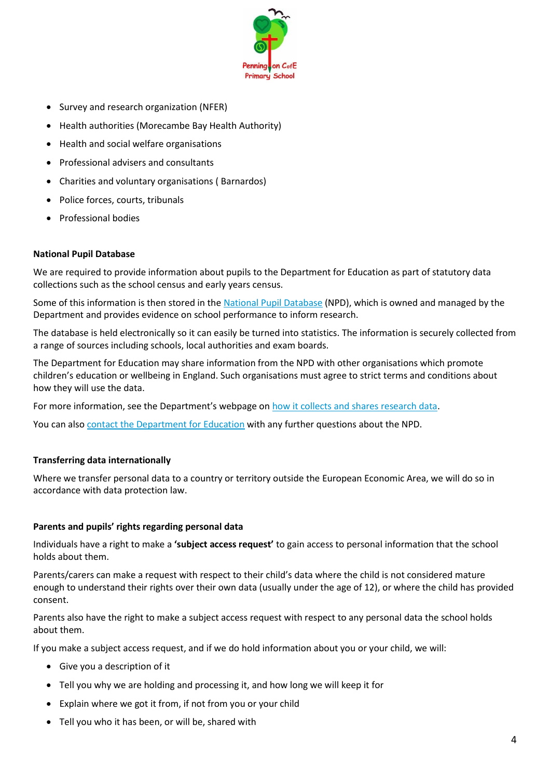

- Survey and research organization (NFER)
- Health authorities (Morecambe Bay Health Authority)
- Health and social welfare organisations
- Professional advisers and consultants
- Charities and voluntary organisations ( Barnardos)
- Police forces, courts, tribunals
- Professional bodies

# **National Pupil Database**

We are required to provide information about pupils to the Department for Education as part of statutory data collections such as the school census and early years census.

Some of this information is then stored in the [National Pupil Database](https://www.gov.uk/government/publications/national-pupil-database-user-guide-and-supporting-information) (NPD), which is owned and managed by the Department and provides evidence on school performance to inform research.

The database is held electronically so it can easily be turned into statistics. The information is securely collected from a range of sources including schools, local authorities and exam boards.

The Department for Education may share information from the NPD with other organisations which promote children's education or wellbeing in England. Such organisations must agree to strict terms and conditions about how they will use the data.

For more information, see the Department's webpage on [how it collects and shares research data.](https://www.gov.uk/data-protection-how-we-collect-and-share-research-data)

You can also [contact the Department for Education](https://www.gov.uk/contact-dfe) with any further questions about the NPD.

# **Transferring data internationally**

Where we transfer personal data to a country or territory outside the European Economic Area, we will do so in accordance with data protection law.

# **Parents and pupils' rights regarding personal data**

Individuals have a right to make a **'subject access request'** to gain access to personal information that the school holds about them.

Parents/carers can make a request with respect to their child's data where the child is not considered mature enough to understand their rights over their own data (usually under the age of 12), or where the child has provided consent.

Parents also have the right to make a subject access request with respect to any personal data the school holds about them.

If you make a subject access request, and if we do hold information about you or your child, we will:

- Give you a description of it
- Tell you why we are holding and processing it, and how long we will keep it for
- Explain where we got it from, if not from you or your child
- Tell you who it has been, or will be, shared with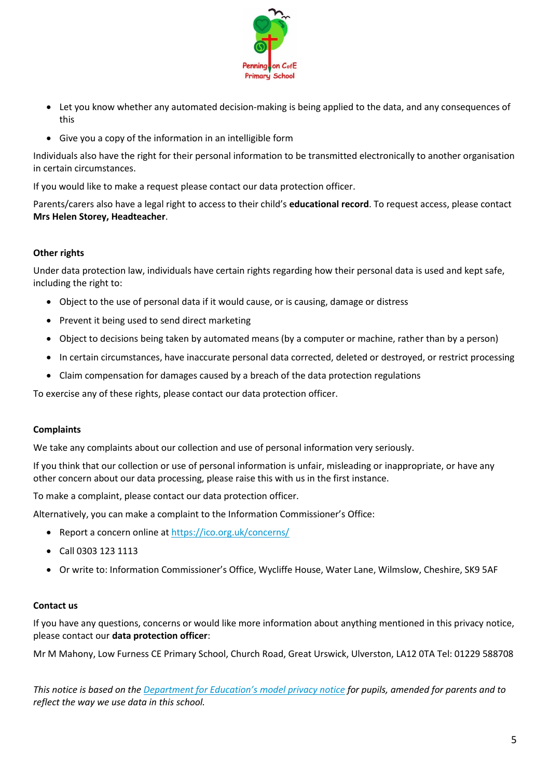

- Let you know whether any automated decision-making is being applied to the data, and any consequences of this
- Give you a copy of the information in an intelligible form

Individuals also have the right for their personal information to be transmitted electronically to another organisation in certain circumstances.

If you would like to make a request please contact our data protection officer.

Parents/carers also have a legal right to access to their child's **educational record**. To request access, please contact **Mrs Helen Storey, Headteacher**.

# **Other rights**

Under data protection law, individuals have certain rights regarding how their personal data is used and kept safe, including the right to:

- Object to the use of personal data if it would cause, or is causing, damage or distress
- Prevent it being used to send direct marketing
- Object to decisions being taken by automated means (by a computer or machine, rather than by a person)
- In certain circumstances, have inaccurate personal data corrected, deleted or destroyed, or restrict processing
- Claim compensation for damages caused by a breach of the data protection regulations

To exercise any of these rights, please contact our data protection officer.

## **Complaints**

We take any complaints about our collection and use of personal information very seriously.

If you think that our collection or use of personal information is unfair, misleading or inappropriate, or have any other concern about our data processing, please raise this with us in the first instance.

To make a complaint, please contact our data protection officer.

Alternatively, you can make a complaint to the Information Commissioner's Office:

- Report a concern online a[t https://ico.org.uk/concerns/](https://ico.org.uk/concerns/)
- Call 0303 123 1113
- Or write to: Information Commissioner's Office, Wycliffe House, Water Lane, Wilmslow, Cheshire, SK9 5AF

## **Contact us**

If you have any questions, concerns or would like more information about anything mentioned in this privacy notice, please contact our **data protection officer**:

Mr M Mahony, Low Furness CE Primary School, Church Road, Great Urswick, Ulverston, LA12 0TA Tel: 01229 588708

*This notice is based on the [Department for Education's model privacy notice](https://www.gov.uk/government/publications/data-protection-and-privacy-privacy-notices) for pupils, amended for parents and to reflect the way we use data in this school.*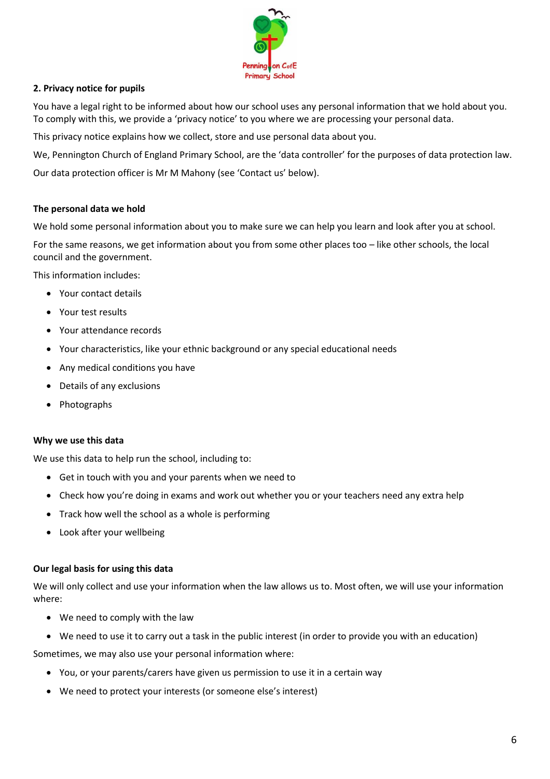

# **2. Privacy notice for pupils**

You have a legal right to be informed about how our school uses any personal information that we hold about you. To comply with this, we provide a 'privacy notice' to you where we are processing your personal data.

This privacy notice explains how we collect, store and use personal data about you.

We, Pennington Church of England Primary School, are the 'data controller' for the purposes of data protection law.

Our data protection officer is Mr M Mahony (see 'Contact us' below).

# **The personal data we hold**

We hold some personal information about you to make sure we can help you learn and look after you at school.

For the same reasons, we get information about you from some other places too – like other schools, the local council and the government.

This information includes:

- Your contact details
- Your test results
- Your attendance records
- Your characteristics, like your ethnic background or any special educational needs
- Any medical conditions you have
- Details of any exclusions
- Photographs

#### **Why we use this data**

We use this data to help run the school, including to:

- Get in touch with you and your parents when we need to
- Check how you're doing in exams and work out whether you or your teachers need any extra help
- Track how well the school as a whole is performing
- Look after your wellbeing

#### **Our legal basis for using this data**

We will only collect and use your information when the law allows us to. Most often, we will use your information where:

- We need to comply with the law
- We need to use it to carry out a task in the public interest (in order to provide you with an education)

Sometimes, we may also use your personal information where:

- You, or your parents/carers have given us permission to use it in a certain way
- We need to protect your interests (or someone else's interest)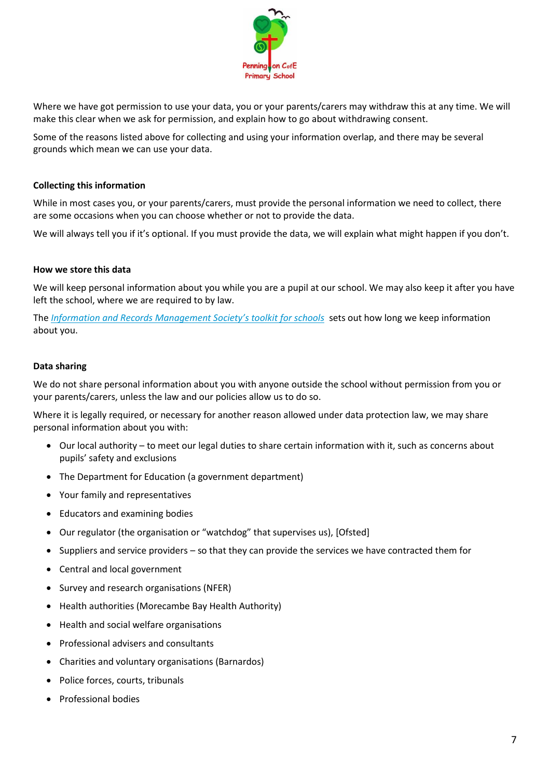

Where we have got permission to use your data, you or your parents/carers may withdraw this at any time. We will make this clear when we ask for permission, and explain how to go about withdrawing consent.

Some of the reasons listed above for collecting and using your information overlap, and there may be several grounds which mean we can use your data.

# **Collecting this information**

While in most cases you, or your parents/carers, must provide the personal information we need to collect, there are some occasions when you can choose whether or not to provide the data.

We will always tell you if it's optional. If you must provide the data, we will explain what might happen if you don't.

#### **How we store this data**

We will keep personal information about you while you are a pupil at our school. We may also keep it after you have left the school, where we are required to by law.

The *[Information and Records Management Society's toolkit for schools](http://irms.org.uk/?page=schoolstoolkit&terms=%22toolkit+and+schools%22)* sets out how long we keep information about you.

#### **Data sharing**

We do not share personal information about you with anyone outside the school without permission from you or your parents/carers, unless the law and our policies allow us to do so.

Where it is legally required, or necessary for another reason allowed under data protection law, we may share personal information about you with:

- Our local authority to meet our legal duties to share certain information with it, such as concerns about pupils' safety and exclusions
- The Department for Education (a government department)
- Your family and representatives
- Educators and examining bodies
- Our regulator (the organisation or "watchdog" that supervises us), [Ofsted]
- Suppliers and service providers so that they can provide the services we have contracted them for
- Central and local government
- Survey and research organisations (NFER)
- Health authorities (Morecambe Bay Health Authority)
- Health and social welfare organisations
- Professional advisers and consultants
- Charities and voluntary organisations (Barnardos)
- Police forces, courts, tribunals
- Professional bodies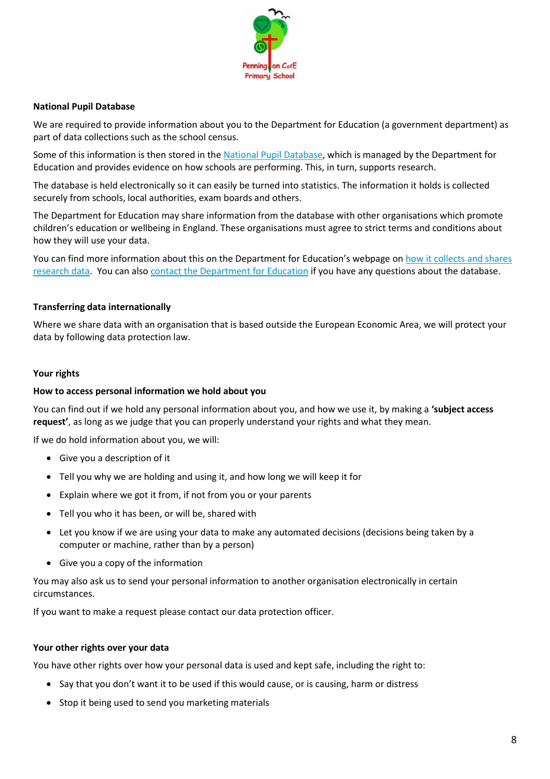

# **National Pupil Database**

We are required to provide information about you to the Department for Education (a government department) as part of data collections such as the school census.

Some of this information is then stored in the [National Pupil Database,](https://www.gov.uk/government/publications/national-pupil-database-user-guide-and-supporting-information) which is managed by the Department for Education and provides evidence on how schools are performing. This, in turn, supports research.

The database is held electronically so it can easily be turned into statistics. The information it holds is collected securely from schools, local authorities, exam boards and others.

The Department for Education may share information from the database with other organisations which promote children's education or wellbeing in England. These organisations must agree to strict terms and conditions about how they will use your data.

You can find more information about this on the Department for Education's webpage on how it collects and shares [research data.](https://www.gov.uk/data-protection-how-we-collect-and-share-research-data) You can also [contact the Department for Education](https://www.gov.uk/contact-dfe) if you have any questions about the database.

## **Transferring data internationally**

Where we share data with an organisation that is based outside the European Economic Area, we will protect your data by following data protection law.

#### **Your rights**

#### **How to access personal information we hold about you**

You can find out if we hold any personal information about you, and how we use it, by making a **'subject access request'**, as long as we judge that you can properly understand your rights and what they mean.

If we do hold information about you, we will:

- Give you a description of it
- Tell you why we are holding and using it, and how long we will keep it for
- Explain where we got it from, if not from you or your parents
- Tell you who it has been, or will be, shared with
- Let you know if we are using your data to make any automated decisions (decisions being taken by a computer or machine, rather than by a person)
- Give you a copy of the information

You may also ask us to send your personal information to another organisation electronically in certain circumstances.

If you want to make a request please contact our data protection officer.

## **Your other rights over your data**

You have other rights over how your personal data is used and kept safe, including the right to:

- Say that you don't want it to be used if this would cause, or is causing, harm or distress
- Stop it being used to send you marketing materials